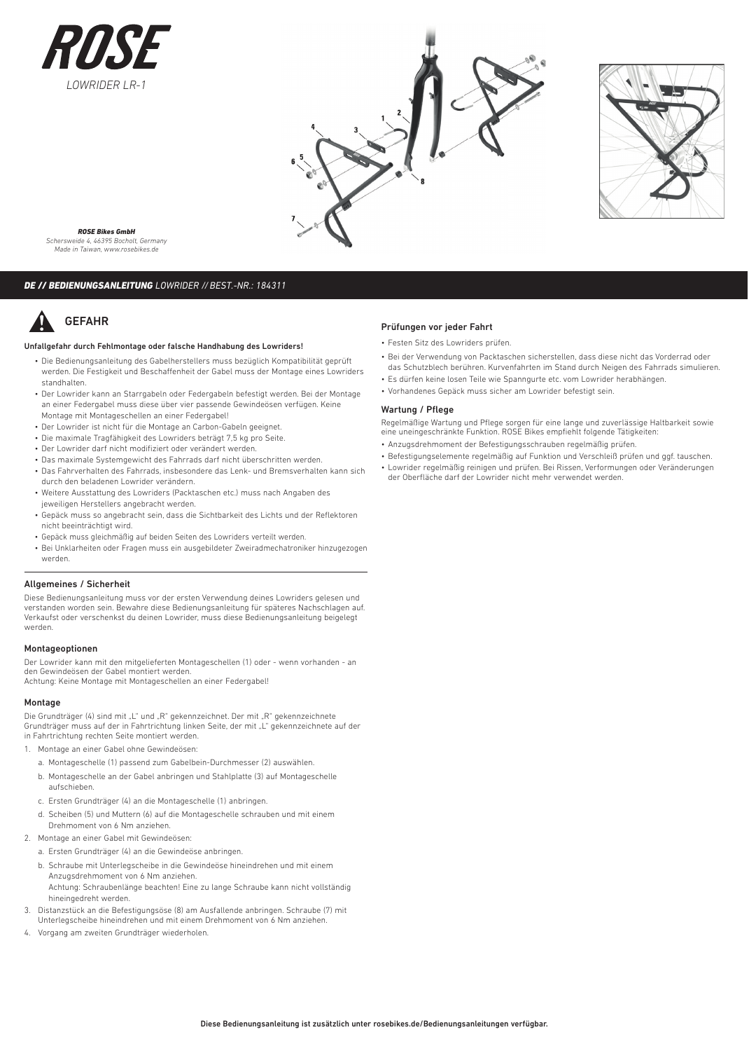





*ROSE Bikes GmbH Schersweide 4, 46395 Bocholt, Germany Made in Taiwan, www.rosebikes.de*

# *DE // BEDIENUNGSANLEITUNG LOWRIDER // BEST.-NR.: 184311*

# GEFAHR

# Unfallgefahr durch Fehlmontage oder falsche Handhabung des Lowriders!

- Die Bedienungsanleitung des Gabelherstellers muss bezüglich Kompatibilität geprüft werden. Die Festigkeit und Beschaffenheit der Gabel muss der Montage eines Lowriders standhalten.
- Der Lowrider kann an Starrgabeln oder Federgabeln befestigt werden. Bei der Montage an einer Federgabel muss diese über vier passende Gewindeösen verfügen. Keine Montage mit Montageschellen an einer Federgabel!
- Der Lowrider ist nicht für die Montage an Carbon-Gabeln geeignet.
- Die maximale Tragfähigkeit des Lowriders beträgt 7,5 kg pro Seite.
- Der Lowrider darf nicht modifiziert oder verändert werden.
- Das maximale Systemgewicht des Fahrrads darf nicht überschritten werden.
- Das Fahrverhalten des Fahrrads, insbesondere das Lenk- und Bremsverhalten kann sich durch den beladenen Lowrider verändern.
- Weitere Ausstattung des Lowriders (Packtaschen etc.) muss nach Angaben des jeweiligen Herstellers angebracht werden.
- Gepäck muss so angebracht sein, dass die Sichtbarkeit des Lichts und der Reflektoren nicht beeinträchtigt wird.
- Gepäck muss gleichmäßig auf beiden Seiten des Lowriders verteilt werden.
- Bei Unklarheiten oder Fragen muss ein ausgebildeter Zweiradmechatroniker hinzugezogen werden.

# Allgemeines / Sicherheit

Diese Bedienungsanleitung muss vor der ersten Verwendung deines Lowriders gelesen und verstanden worden sein. Bewahre diese Bedienungsanleitung für späteres Nachschlagen auf. Verkaufst oder verschenkst du deinen Lowrider, muss diese Bedienungsanleitung beigelegt werden.

### Montageoptionen

Der Lowrider kann mit den mitgelieferten Montageschellen (1) oder - wenn vorhanden - an den Gewindeösen der Gabel montiert werden. Achtung: Keine Montage mit Montageschellen an einer Federgabel!

# Montage

Die Grundträger (4) sind mit "L" und "R" gekennzeichnet. Der mit "R" gekennzeichnete Grundträger muss auf der in Fahrtrichtung linken Seite, der mit "L" gekennzeichnete auf der in Fahrtrichtung rechten Seite montiert werden.

- 1. Montage an einer Gabel ohne Gewindeösen:
	- a. Montageschelle (1) passend zum Gabelbein-Durchmesser (2) auswählen.
	- b. Montageschelle an der Gabel anbringen und Stahlplatte (3) auf Montageschelle aufschieben.
	- c. Ersten Grundträger (4) an die Montageschelle (1) anbringen.
	- d. Scheiben (5) und Muttern (6) auf die Montageschelle schrauben und mit einem Drehmoment von 6 Nm anziehen.
- 2. Montage an einer Gabel mit Gewindeösen:
	- a. Ersten Grundträger (4) an die Gewindeöse anbringen.
	- b. Schraube mit Unterlegscheibe in die Gewindeöse hineindrehen und mit einem Anzugsdrehmoment von 6 Nm anziehen. Achtung: Schraubenlänge beachten! Eine zu lange Schraube kann nicht vollständig hineingedreht werden.
- 3. Distanzstück an die Befestigungsöse (8) am Ausfallende anbringen. Schraube (7) mit Unterlegscheibe hineindrehen und mit einem Drehmoment von 6 Nm anziehen.
- 4. Vorgang am zweiten Grundträger wiederholen.

## Prüfungen vor jeder Fahrt

- Festen Sitz des Lowriders prüfen.
- Bei der Verwendung von Packtaschen sicherstellen, dass diese nicht das Vorderrad oder das Schutzblech berühren. Kurvenfahrten im Stand durch Neigen des Fahrrads simulieren.
- Es dürfen keine losen Teile wie Spanngurte etc. vom Lowrider herabhängen.
- Vorhandenes Gepäck muss sicher am Lowrider befestigt sein.

### Wartung / Pflege

Regelmäßige Wartung und Pflege sorgen für eine lange und zuverlässige Haltbarkeit sowie eine uneingeschränkte Funktion. ROSE Bikes empfiehlt folgende Tätigkeiten:

- Anzugsdrehmoment der Befestigungsschrauben regelmäßig prüfen.
- Befestigungselemente regelmäßig auf Funktion und Verschleiß prüfen und ggf. tauschen. • Lowrider regelmäßig reinigen und prüfen. Bei Rissen, Verformungen oder Veränderungen der Oberfläche darf der Lowrider nicht mehr verwendet werden.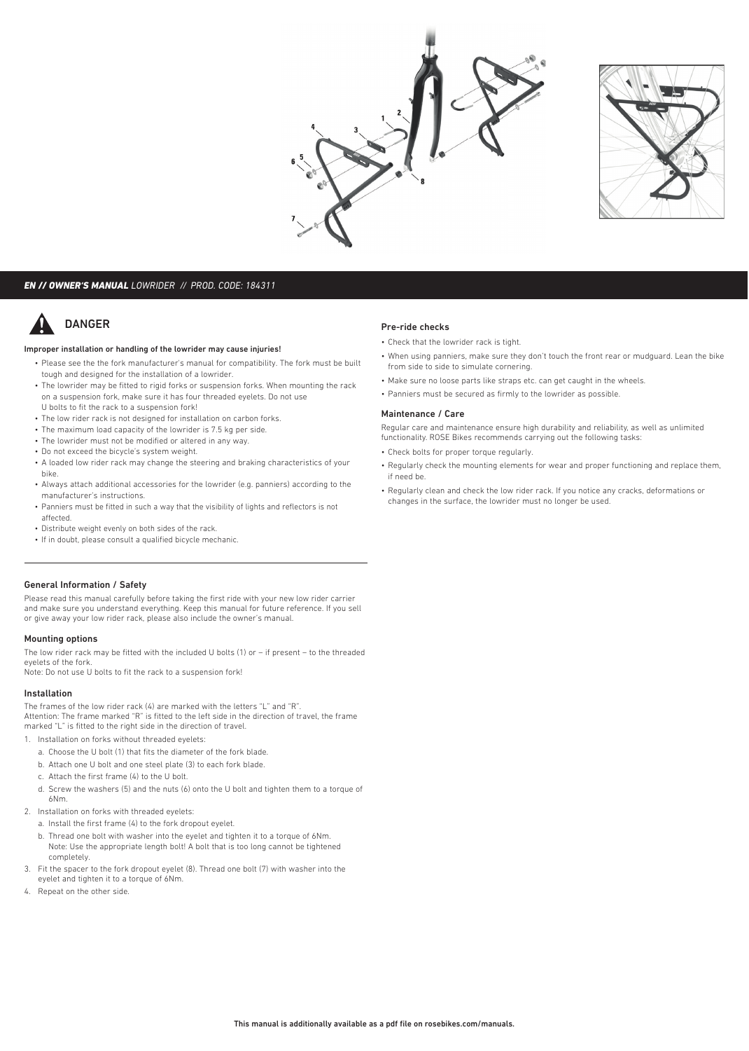



# *EN // OWNER'S MANUAL LOWRIDER // PROD. CODE: 184311*

# DANGER

### Improper installation or handling of the lowrider may cause injuries!

- Please see the the fork manufacturer's manual for compatibility. The fork must be built tough and designed for the installation of a lowrider.
- The lowrider may be fitted to rigid forks or suspension forks. When mounting the rack on a suspension fork, make sure it has four threaded eyelets. Do not use U bolts to fit the rack to a suspension fork!
- The low rider rack is not designed for installation on carbon forks.
- The maximum load capacity of the lowrider is 7.5 kg per side.
- The lowrider must not be modified or altered in any way.
- Do not exceed the bicycle's system weight.
- A loaded low rider rack may change the steering and braking characteristics of your bike.
- Always attach additional accessories for the lowrider (e.g. panniers) according to the manufacturer's instructions.
- Panniers must be fitted in such a way that the visibility of lights and reflectors is not affected.
- Distribute weight evenly on both sides of the rack.
- If in doubt, please consult a qualified bicycle mechanic.

## General Information / Safety

Please read this manual carefully before taking the first ride with your new low rider carrier and make sure you understand everything. Keep this manual for future reference. If you sell or give away your low rider rack, please also include the owner's manual.

### Mounting options

The low rider rack may be fitted with the included U bolts (1) or – if present – to the threaded eyelets of the fork.

Note: Do not use U bolts to fit the rack to a suspension fork!

## Installation

The frames of the low rider rack (4) are marked with the letters "L" and "R". Attention: The frame marked "R" is fitted to the left side in the direction of travel, the frame marked "L" is fitted to the right side in the direction of travel.

- 1. Installation on forks without threaded eyelets:
	- a. Choose the U bolt (1) that fits the diameter of the fork blade.
	- b. Attach one U bolt and one steel plate (3) to each fork blade.
	- c. Attach the first frame (4) to the U bolt.
	- d. Screw the washers (5) and the nuts (6) onto the U bolt and tighten them to a torque of 6Nm.
- 2. Installation on forks with threaded eyelets:
	- a. Install the first frame (4) to the fork dropout eyelet.
	- b. Thread one bolt with washer into the eyelet and tighten it to a torque of 6Nm. Note: Use the appropriate length bolt! A bolt that is too long cannot be tightened completely.
- 3. Fit the spacer to the fork dropout eyelet (8). Thread one bolt (7) with washer into the eyelet and tighten it to a torque of 6Nm.
- 4. Repeat on the other side.

#### Pre-ride checks

- Check that the lowrider rack is tight.
- When using panniers, make sure they don't touch the front rear or mudguard. Lean the bike from side to side to simulate cornering.
- Make sure no loose parts like straps etc. can get caught in the wheels.
- Panniers must be secured as firmly to the lowrider as possible.

### Maintenance / Care

Regular care and maintenance ensure high durability and reliability, as well as unlimited functionality. ROSE Bikes recommends carrying out the following tasks:

- Check bolts for proper torque regularly.
- Regularly check the mounting elements for wear and proper functioning and replace them, if need be.
- Regularly clean and check the low rider rack. If you notice any cracks, deformations or changes in the surface, the lowrider must no longer be used.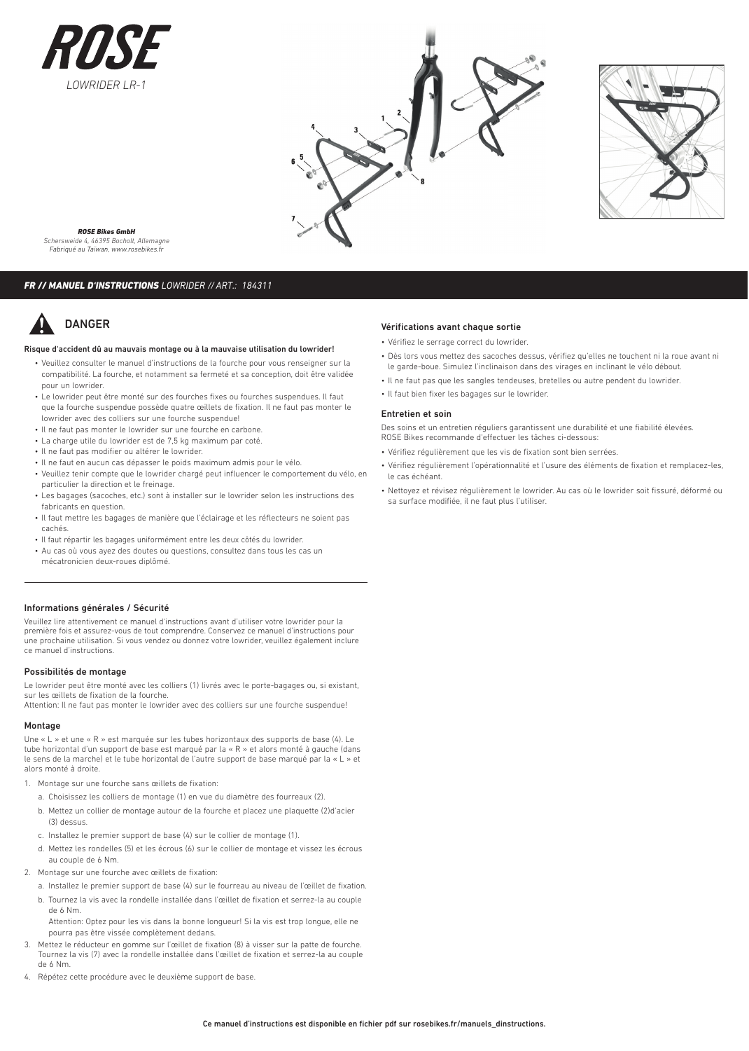





*ROSE Bikes GmbH Schersweide 4, 46395 Bocholt, Allemagne Fabriqué au Taïwan, www.rosebikes.fr*

# *FR // MANUEL D'INSTRUCTIONS LOWRIDER // ART.: 184311*

# DANGER

### Risque d'accident dû au mauvais montage ou à la mauvaise utilisation du lowrider!

- Veuillez consulter le manuel d'instructions de la fourche pour vous renseigner sur la compatibilité. La fourche, et notamment sa fermeté et sa conception, doit être validée pour un lowrider.
- Le lowrider peut être monté sur des fourches fixes ou fourches suspendues. Il faut que la fourche suspendue possède quatre œillets de fixation. Il ne faut pas monter le lowrider avec des colliers sur une fourche suspendue!
- Il ne faut pas monter le lowrider sur une fourche en carbone.
- La charge utile du lowrider est de 7,5 kg maximum par coté.
- Il ne faut pas modifier ou altérer le lowrider.
- Il ne faut en aucun cas dépasser le poids maximum admis pour le vélo.
- Veuillez tenir compte que le lowrider chargé peut influencer le comportement du vélo, en particulier la direction et le freinage.
- Les bagages (sacoches, etc.) sont à installer sur le lowrider selon les instructions des fabricants en question.
- Il faut mettre les bagages de manière que l'éclairage et les réflecteurs ne soient pas cachés.
- Il faut répartir les bagages uniformément entre les deux côtés du lowrider.
- Au cas où vous ayez des doutes ou questions, consultez dans tous les cas un mécatronicien deux-roues diplômé.

### Informations générales / Sécurité

Veuillez lire attentivement ce manuel d'instructions avant d'utiliser votre lowrider pour la première fois et assurez-vous de tout comprendre. Conservez ce manuel d'instructions pour une prochaine utilisation. Si vous vendez ou donnez votre lowrider, veuillez également inclure ce manuel d'instructions.

# Possibilités de montage

Le lowrider peut être monté avec les colliers (1) livrés avec le porte-bagages ou, si existant, sur les œillets de fixation de la fourche.

Attention: Il ne faut pas monter le lowrider avec des colliers sur une fourche suspendue!

# Montage

Une « L » et une « R » est marquée sur les tubes horizontaux des supports de base (4). Le tube horizontal d'un support de base est marqué par la « R » et alors monté à gauche (dans le sens de la marche) et le tube horizontal de l'autre support de base marqué par la « L » et alors monté à droite.

- 1. Montage sur une fourche sans œillets de fixation:
	- a. Choisissez les colliers de montage (1) en vue du diamètre des fourreaux (2).
	- b. Mettez un collier de montage autour de la fourche et placez une plaquette (2)d'acier (3) dessus.
	- c. Installez le premier support de base (4) sur le collier de montage (1).
	- d. Mettez les rondelles (5) et les écrous (6) sur le collier de montage et vissez les écrous au couple de 6 Nm.
- 2. Montage sur une fourche avec œillets de fixation:
	- a. Installez le premier support de base (4) sur le fourreau au niveau de l'œillet de fixation.
	- b. Tournez la vis avec la rondelle installée dans l'œillet de fixation et serrez-la au couple de 6 Nm.

Attention: Optez pour les vis dans la bonne longueur! Si la vis est trop longue, elle ne pourra pas être vissée complètement dedans.

- 3. Mettez le réducteur en gomme sur l'œillet de fixation (8) à visser sur la patte de fourche. Tournez la vis (7) avec la rondelle installée dans l'œillet de fixation et serrez-la au couple de 6 Nm.
- 4. Répétez cette procédure avec le deuxième support de base.

### Vérifications avant chaque sortie

- Vérifiez le serrage correct du lowrider.
- Dès lors vous mettez des sacoches dessus, vérifiez qu'elles ne touchent ni la roue avant ni le garde-boue. Simulez l'inclinaison dans des virages en inclinant le vélo débout.
- Il ne faut pas que les sangles tendeuses, bretelles ou autre pendent du lowrider.
- Il faut bien fixer les bagages sur le lowrider.

### Entretien et soin

Des soins et un entretien réguliers garantissent une durabilité et une fiabilité élevées. ROSE Bikes recommande d'effectuer les tâches ci-dessous:

- Vérifiez régulièrement que les vis de fixation sont bien serrées.
- Vérifiez régulièrement l'opérationnalité et l'usure des éléments de fixation et remplacez-les, le cas échéant.
- Nettoyez et révisez régulièrement le lowrider. Au cas où le lowrider soit fissuré, déformé ou sa surface modifiée, il ne faut plus l'utiliser.